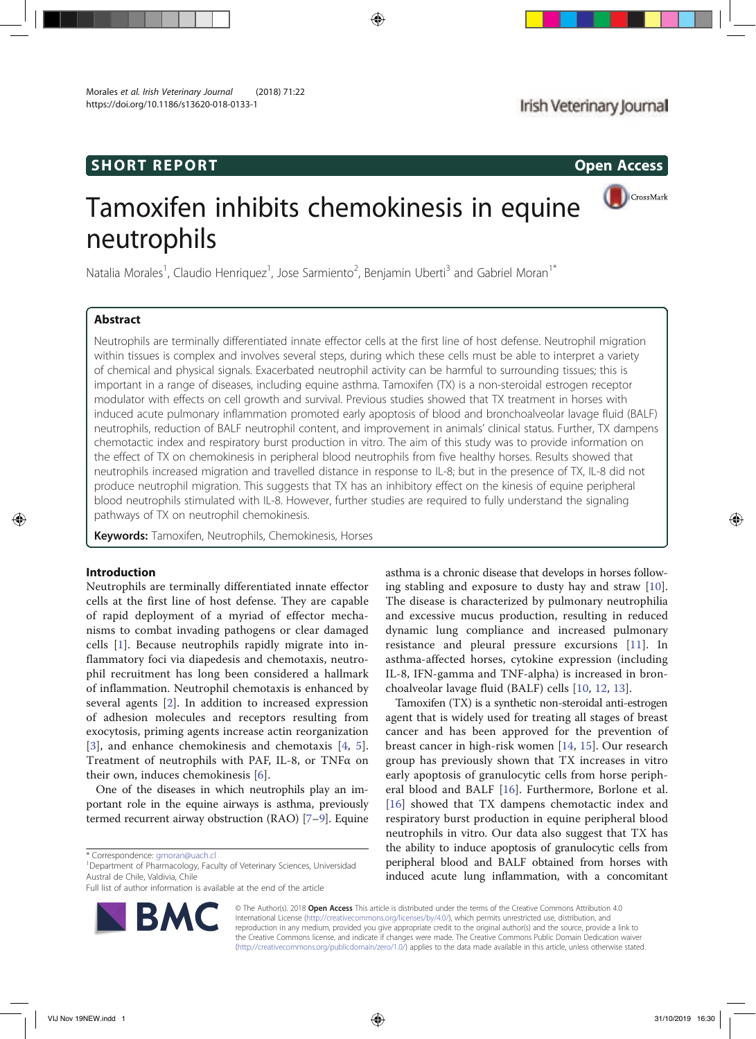# SHORT REPORT **Open Access**

CrossMark

# Tamoxifen inhibits chemokinesis in equine neutrophils

Natalia Morales<sup>1</sup>, Claudio Henriquez<sup>1</sup>, Jose Sarmiento<sup>2</sup>, Benjamin Uberti<sup>3</sup> and Gabriel Moran<sup>1\*</sup>

# Abstract

Neutrophils are terminally differentiated innate effector cells at the first line of host defense. Neutrophil migration within tissues is complex and involves several steps, during which these cells must be able to interpret a variety of chemical and physical signals. Exacerbated neutrophil activity can be harmful to surrounding tissues; this is important in a range of diseases, including equine asthma. Tamoxifen (TX) is a non-steroidal estrogen receptor modulator with effects on cell growth and survival. Previous studies showed that TX treatment in horses with induced acute pulmonary inflammation promoted early apoptosis of blood and bronchoalveolar lavage fluid (BALF) neutrophils, reduction of BALF neutrophil content, and improvement in animals' clinical status. Further, TX dampens chemotactic index and respiratory burst production in vitro. The aim of this study was to provide information on the effect of TX on chemokinesis in peripheral blood neutrophils from five healthy horses. Results showed that neutrophils increased migration and travelled distance in response to IL-8; but in the presence of TX, IL-8 did not produce neutrophil migration. This suggests that TX has an inhibitory effect on the kinesis of equine peripheral blood neutrophils stimulated with IL-8. However, further studies are required to fully understand the signaling pathways of TX on neutrophil chemokinesis.

Keywords: Tamoxifen, Neutrophils, Chemokinesis, Horses

# Introduction

Neutrophils are terminally differentiated innate effector cells at the first line of host defense. They are capable of rapid deployment of a myriad of effector mechanisms to combat invading pathogens or clear damaged cells [1]. Because neutrophils rapidly migrate into inflammatory foci via diapedesis and chemotaxis, neutrophil recruitment has long been considered a hallmark of inflammation. Neutrophil chemotaxis is enhanced by several agents [2]. In addition to increased expression of adhesion molecules and receptors resulting from exocytosis, priming agents increase actin reorganization [3], and enhance chemokinesis and chemotaxis [4, 5]. Treatment of neutrophils with PAF, IL-8, or TNFα on their own, induces chemokinesis [6].

One of the diseases in which neutrophils play an important role in the equine airways is asthma, previously termed recurrent airway obstruction (RAO) [7–9]. Equine

<sup>1</sup>Department of Pharmacology, Faculty of Veterinary Sciences, Universidad Austral de Chile, Valdivia, Chile

Full list of author information is available at the end of the article



asthma is a chronic disease that develops in horses following stabling and exposure to dusty hay and straw [10]. The disease is characterized by pulmonary neutrophilia and excessive mucus production, resulting in reduced dynamic lung compliance and increased pulmonary resistance and pleural pressure excursions [11]. In asthma-affected horses, cytokine expression (including IL-8, IFN-gamma and TNF-alpha) is increased in bronchoalveolar lavage fluid (BALF) cells [10, 12, 13].

Tamoxifen (TX) is a synthetic non-steroidal anti-estrogen agent that is widely used for treating all stages of breast cancer and has been approved for the prevention of breast cancer in high-risk women [14, 15]. Our research group has previously shown that TX increases in vitro early apoptosis of granulocytic cells from horse peripheral blood and BALF [16]. Furthermore, Borlone et al. [16] showed that TX dampens chemotactic index and respiratory burst production in equine peripheral blood neutrophils in vitro. Our data also suggest that TX has the ability to induce apoptosis of granulocytic cells from peripheral blood and BALF obtained from horses with induced acute lung inflammation, with a concomitant

© The Author(s). 2018 Open Access This article is distributed under the terms of the Creative Commons Attribution 4.0 International License (http://creativecommons.org/licenses/by/4.0/), which permits unrestricted use, distribution, and reproduction in any medium, provided you give appropriate credit to the original author(s) and the source, provide a link to the Creative Commons license, and indicate if changes were made. The Creative Commons Public Domain Dedication waiver (http://creativecommons.org/publicdomain/zero/1.0/) applies to the data made available in this article, unless otherwise stated.

<sup>\*</sup> Correspondence: gmoran@uach.cl <sup>1</sup>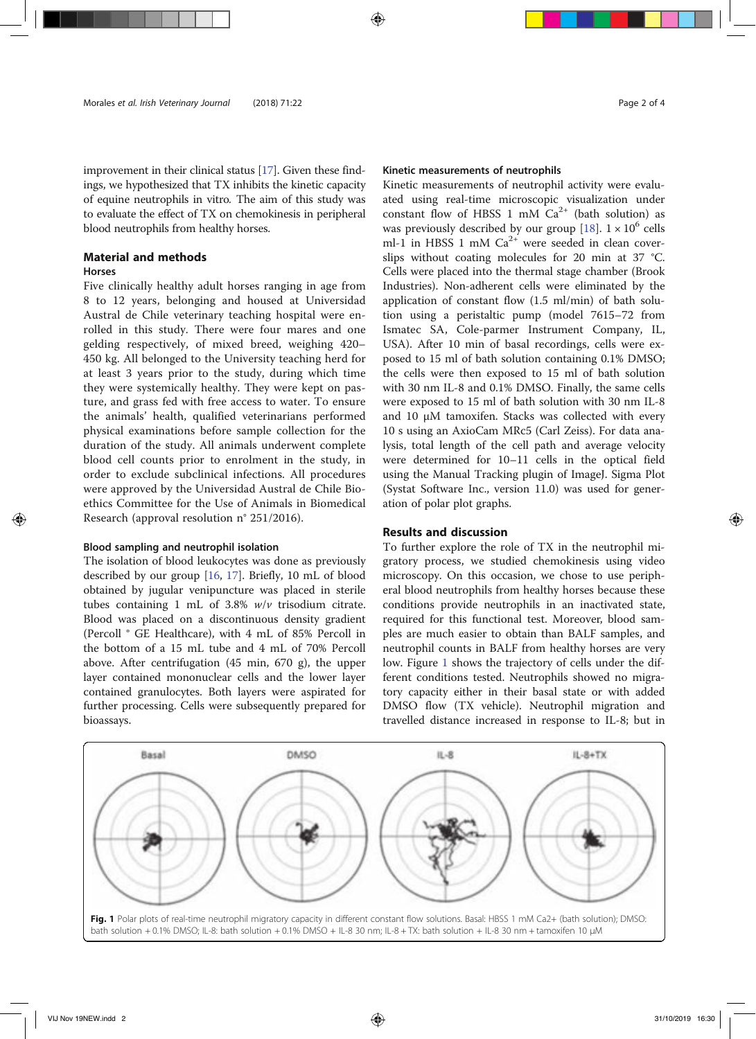improvement in their clinical status [17]. Given these findings, we hypothesized that TX inhibits the kinetic capacity of equine neutrophils in vitro. The aim of this study was to evaluate the effect of TX on chemokinesis in peripheral blood neutrophils from healthy horses.

# Material and methods

## Horses

Five clinically healthy adult horses ranging in age from 8 to 12 years, belonging and housed at Universidad Austral de Chile veterinary teaching hospital were enrolled in this study. There were four mares and one gelding respectively, of mixed breed, weighing 420– 450 kg. All belonged to the University teaching herd for at least 3 years prior to the study, during which time they were systemically healthy. They were kept on pasture, and grass fed with free access to water. To ensure the animals' health, qualified veterinarians performed physical examinations before sample collection for the duration of the study. All animals underwent complete blood cell counts prior to enrolment in the study, in order to exclude subclinical infections. All procedures were approved by the Universidad Austral de Chile Bioethics Committee for the Use of Animals in Biomedical Research (approval resolution n° 251/2016).

## Blood sampling and neutrophil isolation

The isolation of blood leukocytes was done as previously described by our group [16, 17]. Briefly, 10 mL of blood obtained by jugular venipuncture was placed in sterile tubes containing 1 mL of 3.8%  $w/v$  trisodium citrate. Blood was placed on a discontinuous density gradient (Percoll ® GE Healthcare), with 4 mL of 85% Percoll in the bottom of a 15 mL tube and 4 mL of 70% Percoll above. After centrifugation (45 min, 670 g), the upper layer contained mononuclear cells and the lower layer contained granulocytes. Both layers were aspirated for further processing. Cells were subsequently prepared for bioassays.

### Kinetic measurements of neutrophils

Kinetic measurements of neutrophil activity were evaluated using real-time microscopic visualization under constant flow of HBSS 1 mM  $Ca^{2+}$  (bath solution) as was previously described by our group [18].  $1 \times 10^6$  cells ml-1 in HBSS 1 mM  $Ca^{2+}$  were seeded in clean coverslips without coating molecules for 20 min at 37 °C. Cells were placed into the thermal stage chamber (Brook Industries). Non-adherent cells were eliminated by the application of constant flow (1.5 ml/min) of bath solution using a peristaltic pump (model 7615–72 from Ismatec SA, Cole-parmer Instrument Company, IL, USA). After 10 min of basal recordings, cells were exposed to 15 ml of bath solution containing 0.1% DMSO; the cells were then exposed to 15 ml of bath solution with 30 nm IL-8 and 0.1% DMSO. Finally, the same cells were exposed to 15 ml of bath solution with 30 nm IL-8 and 10 μM tamoxifen. Stacks was collected with every 10 s using an AxioCam MRc5 (Carl Zeiss). For data analysis, total length of the cell path and average velocity were determined for 10–11 cells in the optical field using the Manual Tracking plugin of ImageJ. Sigma Plot (Systat Software Inc., version 11.0) was used for generation of polar plot graphs.

## Results and discussion

To further explore the role of TX in the neutrophil migratory process, we studied chemokinesis using video microscopy. On this occasion, we chose to use peripheral blood neutrophils from healthy horses because these conditions provide neutrophils in an inactivated state, required for this functional test. Moreover, blood samples are much easier to obtain than BALF samples, and neutrophil counts in BALF from healthy horses are very low. Figure 1 shows the trajectory of cells under the different conditions tested. Neutrophils showed no migratory capacity either in their basal state or with added DMSO flow (TX vehicle). Neutrophil migration and travelled distance increased in response to IL-8; but in

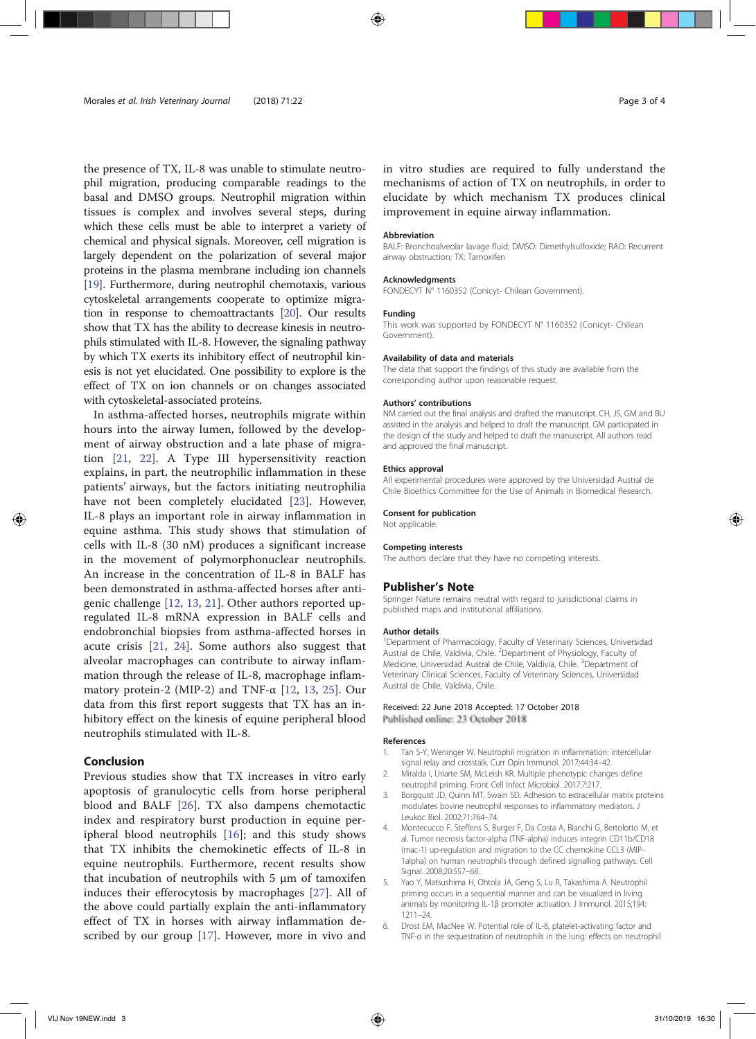the presence of TX, IL-8 was unable to stimulate neutrophil migration, producing comparable readings to the basal and DMSO groups. Neutrophil migration within tissues is complex and involves several steps, during which these cells must be able to interpret a variety of chemical and physical signals. Moreover, cell migration is largely dependent on the polarization of several major proteins in the plasma membrane including ion channels [19]. Furthermore, during neutrophil chemotaxis, various cytoskeletal arrangements cooperate to optimize migration in response to chemoattractants [20]. Our results show that TX has the ability to decrease kinesis in neutrophils stimulated with IL-8. However, the signaling pathway by which TX exerts its inhibitory effect of neutrophil kinesis is not yet elucidated. One possibility to explore is the effect of TX on ion channels or on changes associated with cytoskeletal-associated proteins.

In asthma-affected horses, neutrophils migrate within hours into the airway lumen, followed by the development of airway obstruction and a late phase of migration [21, 22]. A Type III hypersensitivity reaction explains, in part, the neutrophilic inflammation in these patients' airways, but the factors initiating neutrophilia have not been completely elucidated [23]. However, IL-8 plays an important role in airway inflammation in equine asthma. This study shows that stimulation of cells with IL-8 (30 nM) produces a significant increase in the movement of polymorphonuclear neutrophils. An increase in the concentration of IL-8 in BALF has been demonstrated in asthma-affected horses after antigenic challenge [12, 13, 21]. Other authors reported upregulated IL-8 mRNA expression in BALF cells and endobronchial biopsies from asthma-affected horses in acute crisis [21, 24]. Some authors also suggest that alveolar macrophages can contribute to airway inflammation through the release of IL-8, macrophage inflammatory protein-2 (MIP-2) and TNF- $\alpha$  [12, 13, 25]. Our data from this first report suggests that TX has an inhibitory effect on the kinesis of equine peripheral blood neutrophils stimulated with IL-8.

## Conclusion

Previous studies show that TX increases in vitro early apoptosis of granulocytic cells from horse peripheral blood and BALF [26]. TX also dampens chemotactic index and respiratory burst production in equine peripheral blood neutrophils [16]; and this study shows that TX inhibits the chemokinetic effects of IL-8 in equine neutrophils. Furthermore, recent results show that incubation of neutrophils with 5 μm of tamoxifen induces their efferocytosis by macrophages [27]. All of the above could partially explain the anti-inflammatory effect of TX in horses with airway inflammation described by our group [17]. However, more in vivo and

in vitro studies are required to fully understand the mechanisms of action of TX on neutrophils, in order to elucidate by which mechanism TX produces clinical improvement in equine airway inflammation.

#### Abbreviation

BALF: Bronchoalveolar lavage fluid; DMSO: Dimethylsulfoxide; RAO: Recurrent airway obstruction; TX: Tamoxifen

#### Acknowledgments

FONDECYT N° 1160352 (Conicyt- Chilean Government).

#### Funding

This work was supported by FONDECYT N° 1160352 (Conicyt- Chilean Government).

#### Availability of data and materials

The data that support the findings of this study are available from the corresponding author upon reasonable request.

#### Authors' contributions

NM carried out the final analysis and drafted the manuscript. CH, JS, GM and BU assisted in the analysis and helped to draft the manuscript. GM participated in the design of the study and helped to draft the manuscript. All authors read and approved the final manuscript.

#### Ethics approval

All experimental procedures were approved by the Universidad Austral de Chile Bioethics Committee for the Use of Animals in Biomedical Research.

#### Consent for publication

Not applicable.

#### Competing interests

The authors declare that they have no competing interests.

#### Publisher's Note

Springer Nature remains neutral with regard to jurisdictional claims in published maps and institutional affiliations.

#### Author details

<sup>1</sup>Department of Pharmacology, Faculty of Veterinary Sciences, Universidac Austral de Chile, Valdivia, Chile. <sup>2</sup>Department of Physiology, Faculty of Medicine, Universidad Austral de Chile, Valdivia, Chile. <sup>3</sup>Department of Veterinary Clinical Sciences, Faculty of Veterinary Sciences, Universidad Austral de Chile, Valdivia, Chile.

#### Received: 22 June 2018 Accepted: 17 October 2018 Published online: 23 October 2018

#### References

- 1. Tan S-Y, Weninger W. Neutrophil migration in inflammation: intercellular signal relay and crosstalk. Curr Opin Immunol. 2017;44:34–42.
- 2. Miralda I, Uriarte SM, McLeish KR. Multiple phenotypic changes define neutrophil priming. Front Cell Infect Microbiol. 2017;7:217.
- 3. Borgquist JD, Quinn MT, Swain SD. Adhesion to extracellular matrix proteins modulates bovine neutrophil responses to inflammatory mediators. J Leukoc Biol. 2002;71:764–74.
- 4. Montecucco F, Steffens S, Burger F, Da Costa A, Bianchi G, Bertolotto M, et al. Tumor necrosis factor-alpha (TNF-alpha) induces integrin CD11b/CD18 (mac-1) up-regulation and migration to the CC chemokine CCL3 (MIP-1alpha) on human neutrophils through defined signalling pathways. Cell Signal. 2008;20:557–68.
- Yao Y, Matsushima H, Ohtola JA, Geng S, Lu R, Takashima A. Neutrophil priming occurs in a sequential manner and can be visualized in living animals by monitoring IL-1β promoter activation. J Immunol. 2015;194: 1211–24.
- 6. Drost EM, MacNee W. Potential role of IL-8, platelet-activating factor and TNF-α in the sequestration of neutrophils in the lung: effects on neutrophil